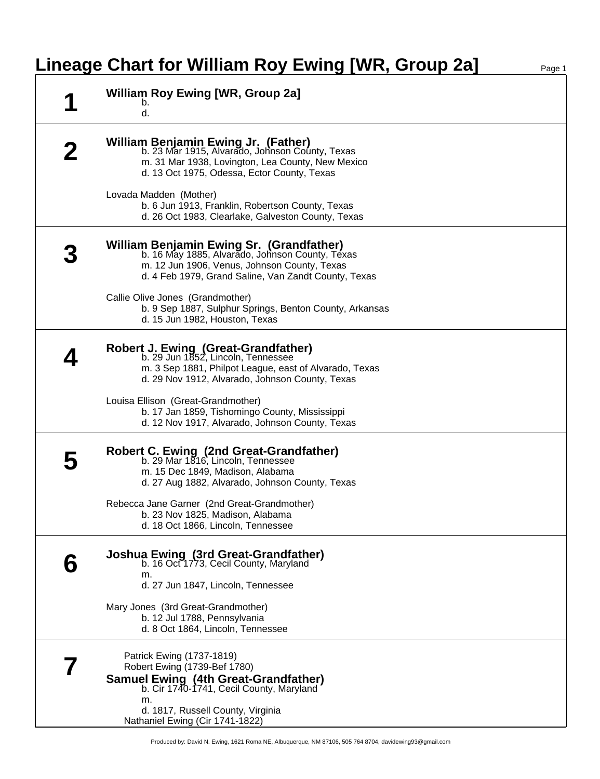## **Lineage Chart for William Roy Ewing [WR, Group 2a]** Page 1

| <b>William Roy Ewing [WR, Group 2a]</b><br>b.                                                                                                                                                                                                                            |
|--------------------------------------------------------------------------------------------------------------------------------------------------------------------------------------------------------------------------------------------------------------------------|
| d.                                                                                                                                                                                                                                                                       |
| William Benjamin Ewing Jr. (Father)<br>b. 23 Mar 1915, Alvarado, Johnson County, Texas<br>m. 31 Mar 1938, Lovington, Lea County, New Mexico<br>d. 13 Oct 1975, Odessa, Ector County, Texas<br>Lovada Madden (Mother)<br>b. 6 Jun 1913, Franklin, Robertson County, Texas |
| d. 26 Oct 1983, Clearlake, Galveston County, Texas                                                                                                                                                                                                                       |
| William Benjamin Ewing Sr. (Grandfather)<br>b. 16 May 1885, Alvarado, Johnson County, Texas<br>m. 12 Jun 1906, Venus, Johnson County, Texas<br>d. 4 Feb 1979, Grand Saline, Van Zandt County, Texas                                                                      |
| Callie Olive Jones (Grandmother)<br>b. 9 Sep 1887, Sulphur Springs, Benton County, Arkansas<br>d. 15 Jun 1982, Houston, Texas                                                                                                                                            |
| <b>Robert J. Ewing (Great-Grandfather)</b><br>b. 29 Jun 1852, Lincoln, Tennessee<br>m. 3 Sep 1881, Philpot League, east of Alvarado, Texas<br>d. 29 Nov 1912, Alvarado, Johnson County, Texas                                                                            |
| Louisa Ellison (Great-Grandmother)<br>b. 17 Jan 1859, Tishomingo County, Mississippi<br>d. 12 Nov 1917, Alvarado, Johnson County, Texas                                                                                                                                  |
| Robert C. Ewing (2nd Great-Grandfather)<br>b. 29 Mar 1816, Lincoln, Tennessee<br>m. 15 Dec 1849, Madison, Alabama<br>d. 27 Aug 1882, Alvarado, Johnson County, Texas                                                                                                     |
| Rebecca Jane Garner (2nd Great-Grandmother)<br>b. 23 Nov 1825, Madison, Alabama<br>d. 18 Oct 1866, Lincoln, Tennessee                                                                                                                                                    |
| Joshua Ewing (3rd Great-Grandfather)<br>b. 16 Oct 1773, Cecil County, Maryland<br>m.<br>d. 27 Jun 1847, Lincoln, Tennessee                                                                                                                                               |
| Mary Jones (3rd Great-Grandmother)<br>b. 12 Jul 1788, Pennsylvania<br>d. 8 Oct 1864, Lincoln, Tennessee                                                                                                                                                                  |
| Patrick Ewing (1737-1819)<br>Robert Ewing (1739-Bef 1780)<br><b>Samuel Ewing (4th Great-Grandfather)</b><br>b. Cir 1740-1741, Cecil County, Maryland<br>m.<br>d. 1817, Russell County, Virginia                                                                          |
| Nathaniel Ewing (Cir 1741-1822)                                                                                                                                                                                                                                          |